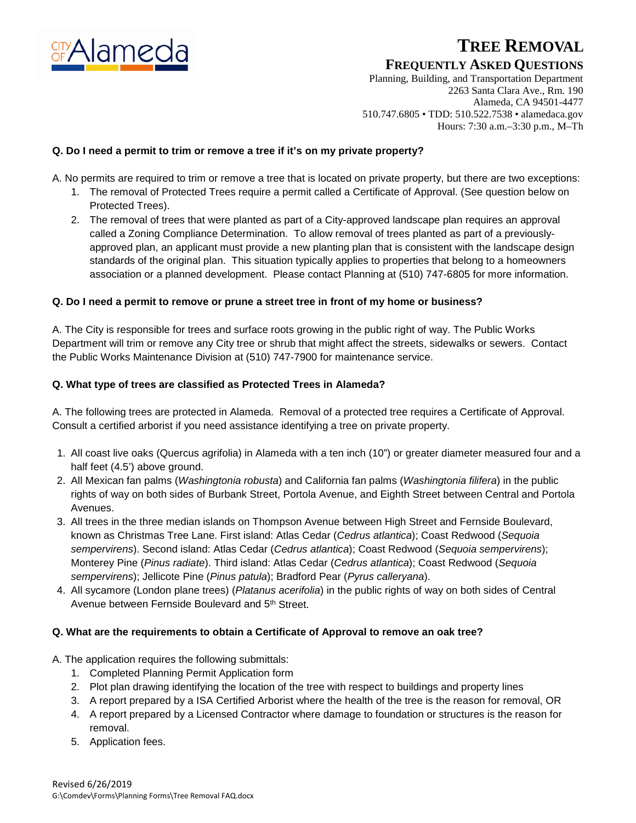

# **TREE REMOVAL**

## **FREQUENTLY ASKED QUESTIONS**

Planning, Building, and Transportation Department 2263 Santa Clara Ave., Rm. 190 Alameda, CA 94501-4477 510.747.6805 • TDD: 510.522.7538 • alamedaca.gov Hours: 7:30 a.m.–3:30 p.m., M–Th

## **Q. Do I need a permit to trim or remove a tree if it's on my private property?**

A. No permits are required to trim or remove a tree that is located on private property, but there are two exceptions:

- 1. The removal of Protected Trees require a permit called a Certificate of Approval. (See question below on Protected Trees).
- 2. The removal of trees that were planted as part of a City-approved landscape plan requires an approval called a Zoning Compliance Determination. To allow removal of trees planted as part of a previouslyapproved plan, an applicant must provide a new planting plan that is consistent with the landscape design standards of the original plan. This situation typically applies to properties that belong to a homeowners association or a planned development. Please contact Planning at (510) 747-6805 for more information.

## **Q. Do I need a permit to remove or prune a street tree in front of my home or business?**

A. The City is responsible for trees and surface roots growing in the public right of way. The Public Works Department will trim or remove any City tree or shrub that might affect the streets, sidewalks or sewers. Contact the Public Works Maintenance Division at (510) 747-7900 for maintenance service.

## **Q. What type of trees are classified as Protected Trees in Alameda?**

A. The following trees are protected in Alameda. Removal of a protected tree requires a Certificate of Approval. Consult a certified arborist if you need assistance identifying a tree on private property.

- 1. All coast live oaks (Quercus agrifolia) in Alameda with a ten inch (10") or greater diameter measured four and a half feet (4.5') above ground.
- 2. All Mexican fan palms (*Washingtonia robusta*) and California fan palms (*Washingtonia filifera*) in the public rights of way on both sides of Burbank Street, Portola Avenue, and Eighth Street between Central and Portola Avenues.
- 3. All trees in the three median islands on Thompson Avenue between High Street and Fernside Boulevard, known as Christmas Tree Lane. First island: Atlas Cedar (*Cedrus atlantica*); Coast Redwood (*Sequoia sempervirens*). Second island: Atlas Cedar (*Cedrus atlantica*); Coast Redwood (*Sequoia sempervirens*); Monterey Pine (*Pinus radiate*). Third island: Atlas Cedar (*Cedrus atlantica*); Coast Redwood (*Sequoia sempervirens*); Jellicote Pine (*Pinus patula*); Bradford Pear (*Pyrus calleryana*).
- 4. All sycamore (London plane trees) (*Platanus acerifolia*) in the public rights of way on both sides of Central Avenue between Fernside Boulevard and 5th Street.

## **Q. What are the requirements to obtain a Certificate of Approval to remove an oak tree?**

- A. The application requires the following submittals:
	- 1. Completed Planning Permit Application form
	- 2. Plot plan drawing identifying the location of the tree with respect to buildings and property lines
	- 3. A report prepared by a ISA Certified Arborist where the health of the tree is the reason for removal, OR
	- 4. A report prepared by a Licensed Contractor where damage to foundation or structures is the reason for removal.
	- 5. Application fees.